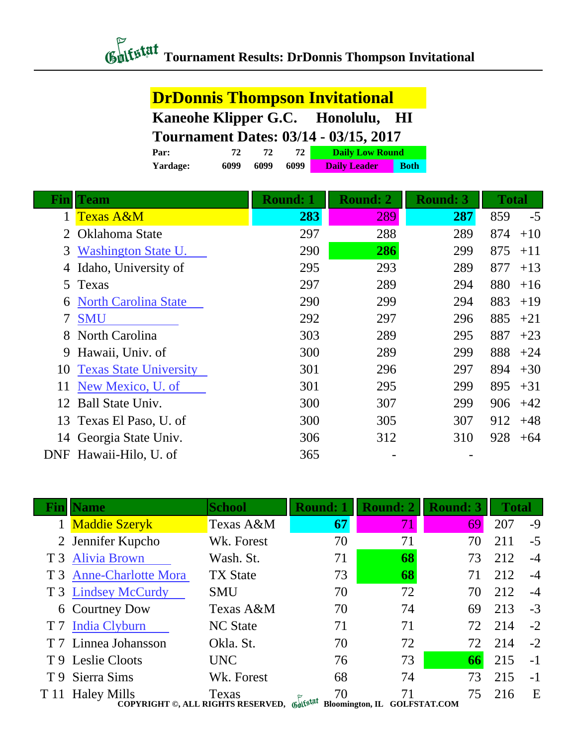#### **Tournament Results: DrDonnis Thompson Invitational**

#### **DrDonnis Thompson Invitational Kaneohe Klipper G.C. Honolulu, HI Tournament Dates: 03/14 - 03/15, 2017**<br>Par:  $\frac{72}{72} = \frac{72}{72} = \frac{2}{72}$ **Par: 72 72 72 Daily Low Round**

| -----    |      |      |      | $=$ $\frac{1}{2}$ $=$ $\frac{1}{2}$ $\frac{1}{2}$ $\frac{1}{2}$ $\frac{1}{2}$ $\frac{1}{2}$ $\frac{1}{2}$ $\frac{1}{2}$ $\frac{1}{2}$ $\frac{1}{2}$ $\frac{1}{2}$ $\frac{1}{2}$ $\frac{1}{2}$ $\frac{1}{2}$ $\frac{1}{2}$ $\frac{1}{2}$ $\frac{1}{2}$ $\frac{1}{2}$ $\frac{1}{2}$ $\frac{1}{2}$ $\frac{1}{2}$ $\frac$ |             |  |
|----------|------|------|------|-----------------------------------------------------------------------------------------------------------------------------------------------------------------------------------------------------------------------------------------------------------------------------------------------------------------------|-------------|--|
| Yardage: | 6099 | 6099 | 6099 | <b>Daily Leader</b>                                                                                                                                                                                                                                                                                                   | <b>Both</b> |  |
|          |      |      |      |                                                                                                                                                                                                                                                                                                                       |             |  |

| Finll  | <b>Team</b>                   | <b>Round: 1</b> | <b>Round: 2</b> | <b>Round: 3</b> | <b>Total</b> |
|--------|-------------------------------|-----------------|-----------------|-----------------|--------------|
|        | <b>Texas A&amp;M</b>          | 283             | 289             | 287             | 859<br>$-5$  |
|        | Oklahoma State                | 297             | 288             | 289             | 874<br>$+10$ |
| 3      | Washington State U.           | 290             | 286             | 299             | 875<br>$+11$ |
| 4      | Idaho, University of          | 295             | 293             | 289             | 877<br>$+13$ |
| 5      | Texas                         | 297             | 289             | 294             | 880<br>$+16$ |
| 6      | <b>North Carolina State</b>   | 290             | 299             | 294             | 883<br>$+19$ |
| $\tau$ | <b>SMU</b>                    | 292             | 297             | 296             | 885<br>$+21$ |
| 8      | North Carolina                | 303             | 289             | 295             | 887<br>$+23$ |
| 9      | Hawaii, Univ. of              | 300             | 289             | 299             | 888<br>$+24$ |
| 10     | <b>Texas State University</b> | 301             | 296             | 297             | 894<br>$+30$ |
| 11     | New Mexico, U. of             | 301             | 295             | 299             | 895<br>$+31$ |
| 12     | Ball State Univ.              | 300             | 307             | 299             | 906<br>$+42$ |
|        | 13 Texas El Paso, U. of       | 300             | 305             | 307             | 912<br>$+48$ |
| 14     | Georgia State Univ.           | 306             | 312             | 310             | 928<br>$+64$ |
|        | DNF Hawaii-Hilo, U. of        | 365             |                 |                 |              |

|      | <b>Name</b>                                                      | <b>School</b>   | <b>Round: 1</b>              | <b>Round: 2</b>     | <b>Round: 3</b> | <b>Total</b> |      |
|------|------------------------------------------------------------------|-----------------|------------------------------|---------------------|-----------------|--------------|------|
|      | 1 Maddie Szeryk                                                  | Texas A&M       | 67                           | 71                  | 69              | 207          | -9   |
|      | 2 Jennifer Kupcho                                                | Wk. Forest      | 70                           | 71                  | 70              | 211          | $-5$ |
|      | T 3 Alivia Brown                                                 | Wash. St.       | 71                           | 68                  | 73              | 212          | $-4$ |
|      | T 3 Anne-Charlotte Mora                                          | <b>TX State</b> | 73                           | 68                  | 71              | 212          | $-4$ |
|      | T 3 Lindsey McCurdy                                              | <b>SMU</b>      | 70                           | 72                  | 70              | 212          | $-4$ |
|      | 6 Courtney Dow                                                   | Texas A&M       | 70                           | 74                  | 69              | 213          | $-3$ |
|      | T 7 India Clyburn                                                | <b>NC</b> State | 71                           | 71                  | 72              | 214          | $-2$ |
|      | T 7 Linnea Johansson                                             | Okla. St.       | 70                           | 72                  | 72              | 214          | $-2$ |
|      | T 9 Leslie Cloots                                                | <b>UNC</b>      | 76                           | 73                  | 66              | 215          | $-1$ |
|      | T 9 Sierra Sims                                                  | Wk. Forest      | 68                           | 74                  | 73              | 215          | $-1$ |
| T 11 | <b>Haley Mills</b><br>COPYRIGHT ©, ALL RIGHTS RESERVED, Gulfstat | Texas           | 70<br><b>Bloomington, IL</b> | <b>GOLFSTAT.COM</b> | 75              | 216          | E    |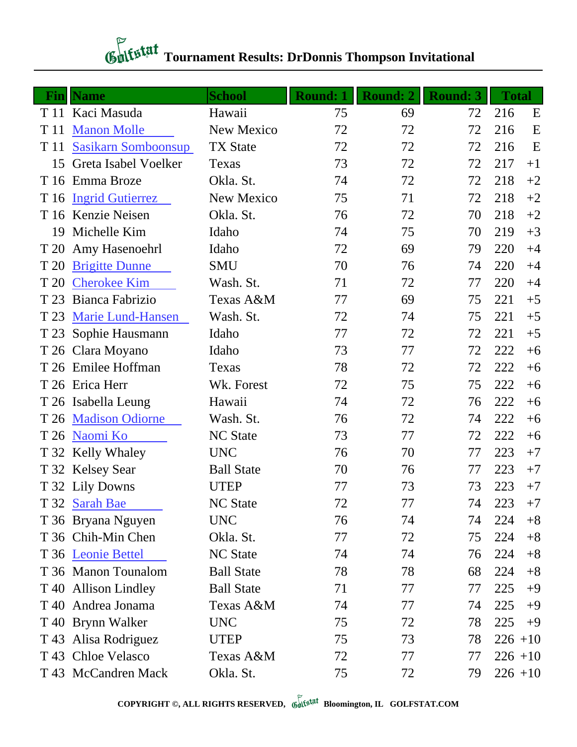# **Gulfstat** Tournament Results: DrDonnis Thompson Invitational

| <b>Fin</b> | <b>Name</b>                | <b>School</b>     | <b>Round: 1</b> | <b>Round: 2</b> | <b>Round: 3</b> | <b>Total</b> |      |
|------------|----------------------------|-------------------|-----------------|-----------------|-----------------|--------------|------|
|            | T 11 Kaci Masuda           | Hawaii            | 75              | 69              | 72              | 216          | E    |
| T 11       | <b>Manon Molle</b>         | New Mexico        | 72              | 72              | 72              | 216          | E    |
| T 11       | <b>Sasikarn Somboonsup</b> | <b>TX State</b>   | 72              | 72              | 72              | 216          | E    |
| 15         | Greta Isabel Voelker       | Texas             | 73              | 72              | 72              | 217          | $+1$ |
|            | T 16 Emma Broze            | Okla. St.         | 74              | 72              | 72              | 218          | $+2$ |
| T 16       | <b>Ingrid Gutierrez</b>    | New Mexico        | 75              | 71              | 72              | 218          | $+2$ |
|            | T 16 Kenzie Neisen         | Okla. St.         | 76              | 72              | 70              | 218          | $+2$ |
| 19         | Michelle Kim               | Idaho             | 74              | 75              | 70              | 219          | $+3$ |
|            | T 20 Amy Hasenoehrl        | Idaho             | 72              | 69              | 79              | 220          | $+4$ |
| T 20       | <b>Brigitte Dunne</b>      | <b>SMU</b>        | 70              | 76              | 74              | 220          | $+4$ |
| T 20       | <b>Cherokee Kim</b>        | Wash. St.         | 71              | 72              | 77              | 220          | $+4$ |
| T 23       | Bianca Fabrizio            | Texas A&M         | 77              | 69              | 75              | 221          | $+5$ |
| T 23       | <b>Marie Lund-Hansen</b>   | Wash. St.         | 72              | 74              | 75              | 221          | $+5$ |
| T 23       | Sophie Hausmann            | Idaho             | 77              | 72              | 72              | 221          | $+5$ |
|            | T 26 Clara Moyano          | Idaho             | 73              | 77              | 72              | 222          | $+6$ |
|            | T 26 Emilee Hoffman        | Texas             | 78              | 72              | 72              | 222          | $+6$ |
|            | T 26 Erica Herr            | Wk. Forest        | 72              | 75              | 75              | 222          | $+6$ |
|            | T 26 Isabella Leung        | Hawaii            | 74              | 72              | 76              | 222          | $+6$ |
|            | T 26 Madison Odiorne       | Wash. St.         | 76              | 72              | 74              | 222          | $+6$ |
|            | T 26 Naomi Ko              | <b>NC</b> State   | 73              | 77              | 72              | 222          | $+6$ |
|            | T 32 Kelly Whaley          | <b>UNC</b>        | 76              | 70              | 77              | 223          | $+7$ |
|            | T 32 Kelsey Sear           | <b>Ball State</b> | 70              | 76              | 77              | 223          | $+7$ |
|            | T 32 Lily Downs            | <b>UTEP</b>       | 77              | 73              | 73              | 223          | $+7$ |
|            | T 32 Sarah Bae             | <b>NC State</b>   | 72              | 77              | 74              | 223          | $+7$ |
|            | T 36 Bryana Nguyen         | <b>UNC</b>        | 76              | 74              | 74              | 224          | $+8$ |
|            | T 36 Chih-Min Chen         | Okla. St.         | 77              | 72              | 75              | 224          | $+8$ |
|            | T 36 Leonie Bettel         | <b>NC State</b>   | 74              | 74              | 76              | 224          | $+8$ |
|            | T 36 Manon Tounalom        | <b>Ball State</b> | 78              | 78              | 68              | 224          | $+8$ |
|            | T 40 Allison Lindley       | <b>Ball State</b> | 71              | 77              | 77              | 225          | $+9$ |
|            | T 40 Andrea Jonama         | Texas A&M         | 74              | 77              | 74              | 225          | $+9$ |
|            | T 40 Brynn Walker          | <b>UNC</b>        | 75              | 72              | 78              | 225          | $+9$ |
|            | T 43 Alisa Rodriguez       | <b>UTEP</b>       | 75              | 73              | 78              | $226 + 10$   |      |
| T 43       | <b>Chloe Velasco</b>       | Texas A&M         | 72              | 77              | 77              | $226 + 10$   |      |
|            | T 43 McCandren Mack        | Okla. St.         | 75              | 72              | 79              | $226 + 10$   |      |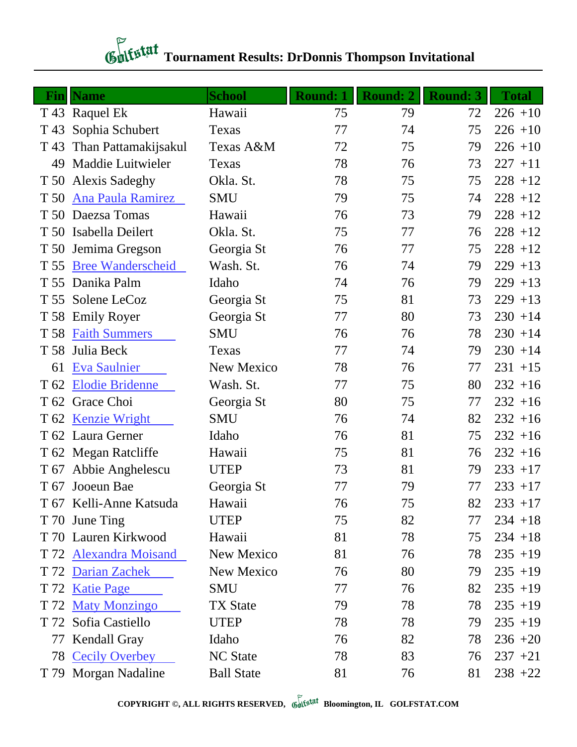### **Tournament Results: DrDonnis Thompson Invitational**

| Fin  | <b>Name</b>              | <b>School</b>     | <b>Round: 1</b> | <b>Round: 2</b> | <b>Round: 3</b> | <b>Total</b> |
|------|--------------------------|-------------------|-----------------|-----------------|-----------------|--------------|
|      | T 43 Raquel Ek           | Hawaii            | 75              | 79              | 72              | $226 + 10$   |
| T 43 | Sophia Schubert          | Texas             | 77              | 74              | 75              | $226 + 10$   |
| T 43 | Than Pattamakijsakul     | Texas A&M         | 72              | 75              | 79              | $226 + 10$   |
| 49   | Maddie Luitwieler        | Texas             | 78              | 76              | 73              | $227 + 11$   |
| T 50 | <b>Alexis Sadeghy</b>    | Okla. St.         | 78              | 75              | 75              | $228 + 12$   |
| T 50 | Ana Paula Ramirez        | <b>SMU</b>        | 79              | 75              | 74              | $228 + 12$   |
| T 50 | Daezsa Tomas             | Hawaii            | 76              | 73              | 79              | $228 + 12$   |
| T 50 | Isabella Deilert         | Okla. St.         | 75              | 77              | 76              | $228 + 12$   |
| T 50 | Jemima Gregson           | Georgia St        | 76              | 77              | 75              | $228 + 12$   |
| T 55 | <b>Bree Wanderscheid</b> | Wash. St.         | 76              | 74              | 79              | $229 + 13$   |
|      | T 55 Danika Palm         | Idaho             | 74              | 76              | 79              | $229 + 13$   |
| T 55 | Solene LeCoz             | Georgia St        | 75              | 81              | 73              | $229 + 13$   |
|      | T 58 Emily Royer         | Georgia St        | 77              | 80              | 73              | $230 + 14$   |
| T 58 | <b>Faith Summers</b>     | <b>SMU</b>        | 76              | 76              | 78              | $230 + 14$   |
| T 58 | Julia Beck               | Texas             | 77              | 74              | 79              | $230 + 14$   |
| 61   | Eva Saulnier             | New Mexico        | 78              | 76              | 77              | $231 + 15$   |
| T 62 | <b>Elodie Bridenne</b>   | Wash. St.         | 77              | 75              | 80              | $232 + 16$   |
| T 62 | Grace Choi               | Georgia St        | 80              | 75              | 77              | $232 + 16$   |
| T 62 | <b>Kenzie Wright</b>     | <b>SMU</b>        | 76              | 74              | 82              | $232 + 16$   |
|      | T 62 Laura Gerner        | Idaho             | 76              | 81              | 75              | $232 + 16$   |
|      | T 62 Megan Ratcliffe     | Hawaii            | 75              | 81              | 76              | $232 + 16$   |
|      | T 67 Abbie Anghelescu    | <b>UTEP</b>       | 73              | 81              | 79              | $233 + 17$   |
|      | T 67 Jooeun Bae          | Georgia St        | 77              | 79              | 77              | $233 + 17$   |
|      | T 67 Kelli-Anne Katsuda  | Hawaii            | 76              | 75              | 82              | $233 + 17$   |
|      | T 70 June Ting           | <b>UTEP</b>       | 75              | 82              | 77              | $234 + 18$   |
|      | T 70 Lauren Kirkwood     | Hawaii            | 81              | 78              | 75              | $234 + 18$   |
|      | T 72 Alexandra Moisand   | New Mexico        | 81              | 76              | 78              | $235 + 19$   |
| T 72 | <b>Darian Zachek</b>     | New Mexico        | 76              | 80              | 79              | $235 + 19$   |
| T 72 | <b>Katie Page</b>        | <b>SMU</b>        | 77              | 76              | 82              | $235 + 19$   |
|      | T 72 Maty Monzingo       | <b>TX</b> State   | 79              | 78              | 78              | $235 + 19$   |
| T 72 | Sofia Castiello          | <b>UTEP</b>       | 78              | 78              | 79              | $235 + 19$   |
| 77   | <b>Kendall Gray</b>      | Idaho             | 76              | 82              | 78              | $236 + 20$   |
|      | 78 Cecily Overbey        | <b>NC State</b>   | 78              | 83              | 76              | $237 +21$    |
|      | T 79 Morgan Nadaline     | <b>Ball State</b> | 81              | 76              | 81              | $238 + 22$   |